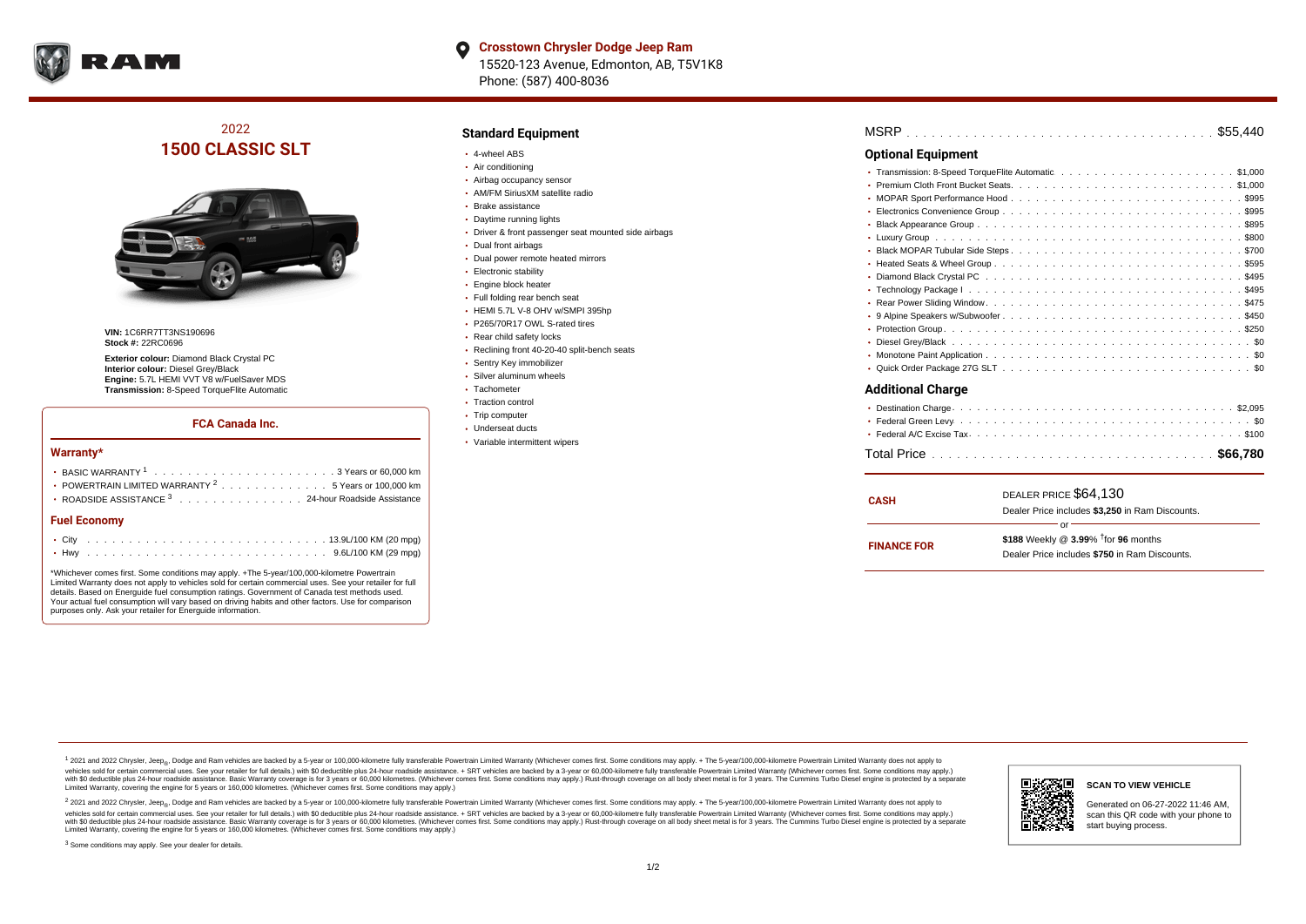

# 2022 **1500 CLASSIC SLT**



**VIN:** 1C6RR7TT3NS190696 **Stock #:** 22RC0696

**Exterior colour:** Diamond Black Crystal PC **Interior colour:** Diesel Grey/Black **Engine:** 5.7L HEMI VVT V8 w/FuelSaver MDS **Transmission:** 8-Speed TorqueFlite Automatic

### **FCA Canada Inc.**

#### **Warranty\***

| <b>Fuel Economy</b>                                              |  |  |  |  |  |
|------------------------------------------------------------------|--|--|--|--|--|
| ROADSIDE ASSISTANCE <sup>3</sup> 24-hour Roadside Assistance     |  |  |  |  |  |
| • POWERTRAIN LIMITED WARRANTY <sup>2</sup> 5 Years or 100,000 km |  |  |  |  |  |
|                                                                  |  |  |  |  |  |

\*Whichever comes first. Some conditions may apply. +The 5-year/100,000-kilometre Powertrain Limited Warranty does not apply to vehicles sold for certain commercial uses. See your retailer for full details. Based on Energuide fuel consumption ratings. Government of Canada test methods used. Your actual fuel consumption will vary based on driving habits and other factors. Use for comparison purposes only. Ask your retailer for Energuide information.

#### **Standard Equipment**

- 4-wheel ABS
- Air conditioning
- Airbag occupancy sensor
- AM/FM SiriusXM satellite radio
- Brake assistance
- Daytime running lights
- Driver & front passenger seat mounted side airbags
- Dual front airbags
- Dual power remote heated mirrors
- **Electronic stability**
- **Engine block heater**
- Full folding rear bench seat
- HEMI 5.7L V-8 OHV w/SMPI 395hp
- P265/70R17 OWL S-rated tires
- Rear child safety locks
- Reclining front 40-20-40 split-bench seats
- Sentry Key immobilizer
- Silver aluminum wheels
- Tachometer
- Traction control
- Trip computer
- Underseat ducts
- Variable intermittent wipers

| MSRP |  |  |  |  |  |  |  |  |  |  |  |  |  |  |  |  |  |  |  |  |  |  |  |  |  |  |  |  |  |  |  |  |  |  |  |  |  |  |  |  |  |  |  |  |  |  |
|------|--|--|--|--|--|--|--|--|--|--|--|--|--|--|--|--|--|--|--|--|--|--|--|--|--|--|--|--|--|--|--|--|--|--|--|--|--|--|--|--|--|--|--|--|--|--|
|------|--|--|--|--|--|--|--|--|--|--|--|--|--|--|--|--|--|--|--|--|--|--|--|--|--|--|--|--|--|--|--|--|--|--|--|--|--|--|--|--|--|--|--|--|--|--|

#### **Optional Equipment**

#### **Additional Charge**

| <b>CASH</b>        | DEALER PRICE \$64.130<br>Dealer Price includes \$3,250 in Ram Discounts.                                  |
|--------------------|-----------------------------------------------------------------------------------------------------------|
| <b>FINANCE FOR</b> | Ωľ<br>\$188 Weekly @ $3.99\%$ <sup>†</sup> for 96 months<br>Dealer Price includes \$750 in Ram Discounts. |

<sup>1</sup> 2021 and 2022 Chrysler, Jeep<sub>®</sub>, Dodge and Ram vehicles are backed by a 5-year or 100,000-kilometre fully transferable Powertrain Limited Warranty (Whichever comes first. Some conditions may apply. + The 5-year/100,000 vehicles sold for certain commercial uses. See your retailer for full details.) with \$0 deductible plus 24-hour roadside assistance. + SRT vehicles are backed by a 3-year or 60,000-kilometre fully transferable Powertrain L versus and contract the mean of the contract of the contract with a contract with a contract the contract of the contract of the contract the contract of the contract of the contract of the contract of the contract of the Limited Warranty, covering the engine for 5 years or 160,000 kilometres. (Whichever comes first. Some conditions may apply.)

2 2021 and 2022 Chrysler, Jeep<sub>®</sub>, Dodge and Ram vehicles are backed by a 5-year or 100,000-kilometre fully transferable Powertrain Limited Warranty (Whichever comes first. Some conditions may apply. + The 5-year/100,000-k vehicles sold for certain commercial uses. See your retailer for full details.) with SO deductible plus 24-hour roadside assistance. + SRT vehicles are backed by a 3-year or 60.000-kilometre fully transferable Powertrain. with S0 deductible plus 24-hour roadside assistance. Basic Warranty coverage is for 3 years or 60,000 kilometres. (Whichever comes first. Some conditions may apply.) Rust-through coverage on all body sheet metal is for 3 y



#### **SCAN TO VIEW VEHICLE**

Generated on 06-27-2022 11:46 AM, scan this QR code with your phone to start buying process.

<sup>3</sup> Some conditions may apply. See your dealer for details.